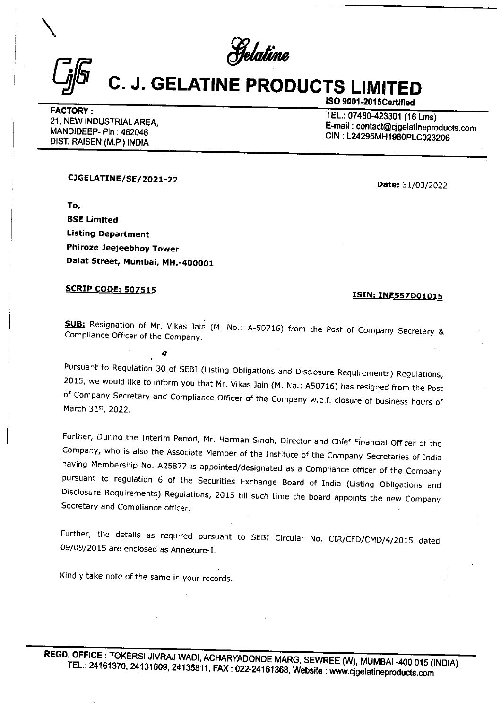$\bigcap_{\Gamma\in\Gamma}$  Selatine

## C. J. GELATINE PRODUCTS LIMITED  $C_{jj}$   $C_{.}$  J. GELATINE PF

CIGELATINE/SE/2021-22 Date: 31/03/2022

' To, BSE Limited Listing Department Phiroze Jeejeebhoy Tower Dalat Street, Mumbai, MH.-400001

@

## SCRIP CODE: 507515

SUB: Resignation of Mr. Vikas Jain (M. No.: A-50716) from the Post of Company Secretary & Compliance Officer of the Company.

Pursuant to Regulation 30 of SEBI (Listing Obligations and Disclosure Requirements) Regulations, 2015, we would like to inform you that Mr. Vikas Jain (M. No.: A50716) has resigned from the Post of Company Secretary and Co

Further, During the Interim Period, Mr. Harman Singh, Director and Chief Financial Officer of the Company, who is also the Associate Member of the Institute of the Company Secretaries of India having Membership No. A25877 **EXECUTE:**<br> **EXECUTE:**<br> **EXECUTE:**<br> **EXECUTE:**<br> **EXECUTE:**<br> **EXECUTE:**<br> **EXECUTE:**<br> **EXECUTE:**<br> **EXECUTE:**<br> **EXECUTE:**<br> **EXECUTE:**<br> **EXECUTE:**<br> **EXECUTE:**<br> **EXECUTE:**<br> **EXECUTE:**<br> **EXECUTE:**<br> **EXECUTE:**<br> **EXECUTE:**<br> **EXECU** 

Further, the details as required pursuant to SEBI Circular No. CIR/CFD/CMD/4/2015 dated 09/09/2015 are enclosed as Annexure-I.

Kindly take note of the same in your records.

1SO 9001-2015Certified<br>
FACTORY : TEL.: 07480-423301 (16 Lins)<br>
21, NEW INDUSTRIAL AREA, E-mail : contact@cjgelatineproducts.com<br>
MANDIDEEP- Pin : 462046 CIN : L24295MH1980PLC023206<br>
DIST. RAISEN (M.P.) INDIA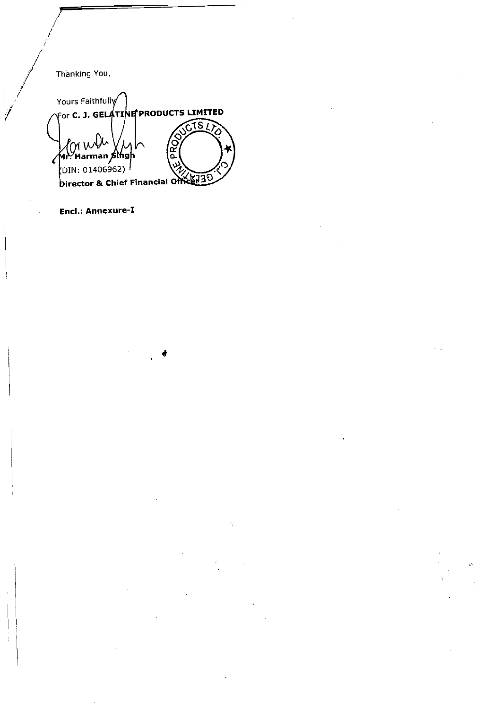/ Thanking You,

/

Yours Faithfully For C. J. GELATINE PRODUCTS LIMITED **PROD** lor w ์<br>ฟ⊦∕้ Harman *β*ing∣ |<br>(DIN: 01406962) <sup>|</sup> Director & Chief Financial Office 130

and the state of the state of the state of the state of the state of the state of the state of the state of the

Encl.: Annexure-I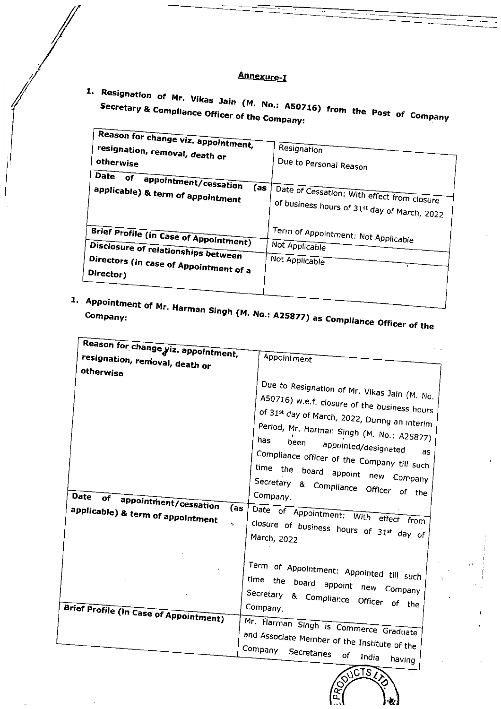## Annexure-I

| <b>Secretary &amp; Compliance Officer of the Company:</b><br>Reason for change viz. appointment,                                            | 1. Resignation of Mr. Vikas Jain (M. No.: A50716) from the Post of Company                  |
|---------------------------------------------------------------------------------------------------------------------------------------------|---------------------------------------------------------------------------------------------|
| resignation, removal, death or                                                                                                              | Resignation                                                                                 |
| otherwise                                                                                                                                   | Due to Personal Reason                                                                      |
| Date of appointment/cessation<br>(as<br>applicable) & term of appointment                                                                   | Date of Cessation: With effect from closure<br>of business hours of 31st day of March, 2022 |
| <b>Brief Profile (in Case of Appointment)</b><br>Disclosure of relationships between<br>Directors (in case of Appointment of a<br>Director) | Term of Appointment: Not Applicable<br>Not Applicable<br>Not Applicable                     |
|                                                                                                                                             |                                                                                             |

1. Appointment of Mr. Harman Singh (M. No.: A25877) as Compliance Officer of the

| Reason for change yiz. appointment,<br>resignation, removal, death or                               | Appointment                                                                                                                                                                                                                                                                                                                                                                                                                                                                           |
|-----------------------------------------------------------------------------------------------------|---------------------------------------------------------------------------------------------------------------------------------------------------------------------------------------------------------------------------------------------------------------------------------------------------------------------------------------------------------------------------------------------------------------------------------------------------------------------------------------|
| otherwise<br>Date<br>of<br>appointment/cessation<br>(as<br>applicable) & term of appointment<br>Ą., | Due to Resignation of Mr. Vikas Jain (M. No.<br>A50716) w.e.f. closure of the business hours<br>of 31st day of March, 2022, During an interim<br>Period, Mr. Harman Singh (M. No.: A25877)<br>has.<br>been<br>appointed/designated<br>Compliance officer of the Company till such<br>time the board appoint new Company<br>Secretary & Compliance Officer of the<br>Company.<br>Date of Appointment: With effect from<br>closure of business hours of $31^{st}$ day of<br>March, 2022 |
| Brief Profile (in Case of Appointment)                                                              | Term of Appointment: Appointed till such<br>time the board appoint new Company<br>Secretary & Compliance Officer of the<br>Company.<br>Mr. Harman Singh is Commerce Graduate<br>and Associate Member of the Institute of the<br>Company                                                                                                                                                                                                                                               |

 $\ddot{\phantom{a}}$